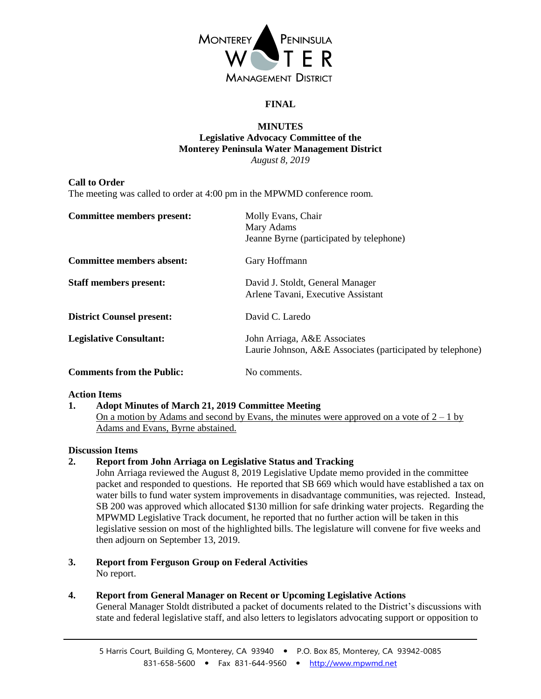

# **FINAL**

### **MINUTES Legislative Advocacy Committee of the Monterey Peninsula Water Management District** *August 8, 2019*

## **Call to Order**

The meeting was called to order at 4:00 pm in the MPWMD conference room.

| <b>Committee members present:</b> | Molly Evans, Chair<br>Mary Adams<br>Jeanne Byrne (participated by telephone)               |
|-----------------------------------|--------------------------------------------------------------------------------------------|
| <b>Committee members absent:</b>  | Gary Hoffmann                                                                              |
| <b>Staff members present:</b>     | David J. Stoldt, General Manager<br>Arlene Tavani, Executive Assistant                     |
| <b>District Counsel present:</b>  | David C. Laredo                                                                            |
| <b>Legislative Consultant:</b>    | John Arriaga, A&E Associates<br>Laurie Johnson, A&E Associates (participated by telephone) |
| <b>Comments from the Public:</b>  | No comments.                                                                               |

## **Action Items**

## **1. Adopt Minutes of March 21, 2019 Committee Meeting**

On a motion by Adams and second by Evans, the minutes were approved on a vote of  $2 - 1$  by Adams and Evans, Byrne abstained.

## **Discussion Items**

**2. Report from John Arriaga on Legislative Status and Tracking**

John Arriaga reviewed the August 8, 2019 Legislative Update memo provided in the committee packet and responded to questions. He reported that SB 669 which would have established a tax on water bills to fund water system improvements in disadvantage communities, was rejected. Instead, SB 200 was approved which allocated \$130 million for safe drinking water projects. Regarding the MPWMD Legislative Track document, he reported that no further action will be taken in this legislative session on most of the highlighted bills. The legislature will convene for five weeks and then adjourn on September 13, 2019.

- **3. Report from Ferguson Group on Federal Activities** No report.
- **4. Report from General Manager on Recent or Upcoming Legislative Actions** General Manager Stoldt distributed a packet of documents related to the District's discussions with state and federal legislative staff, and also letters to legislators advocating support or opposition to